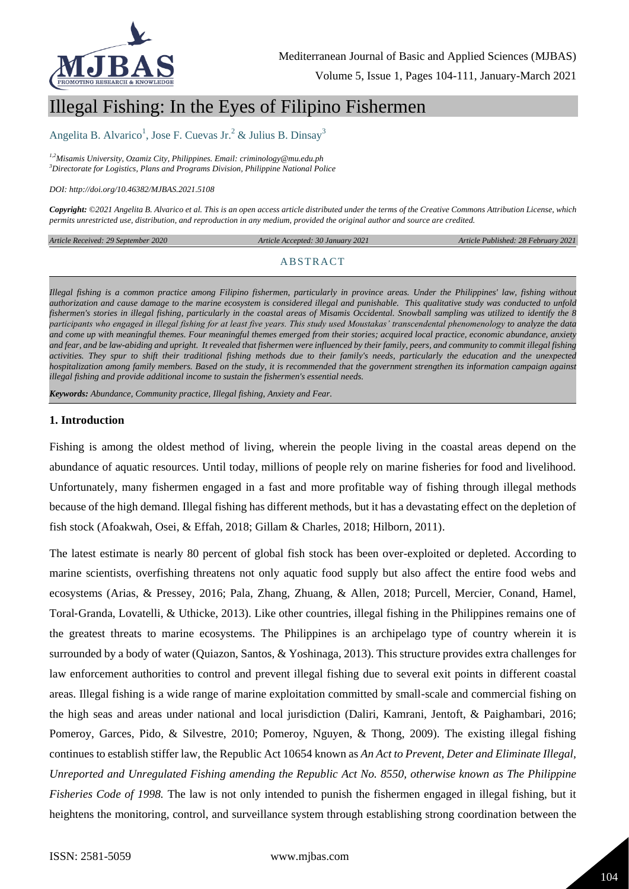

# Illegal Fishing: In the Eyes of Filipino Fishermen

Angelita B. Alvarico<sup>1</sup>, Jose F. Cuevas Jr.<sup>2</sup> & Julius B. Dinsay<sup>3</sup>

*1,2Misamis University, Ozamiz City, Philippines. Email: criminology@mu.edu.ph <sup>3</sup>Directorate for Logistics, Plans and Programs Division, Philippine National Police*

*DOI: http://doi.org/10.46382/MJBAS.2021.5108*

*Copyright: ©2021 Angelita B. Alvarico et al. This is an open access article distributed under the terms of the [Creative Commons Attribution License,](https://creativecommons.org/licenses/by-sa/4.0/) which permits unrestricted use, distribution, and reproduction in any medium, provided the original author and source are credited.* 

*Article Received: 29 September 2020 Article Accepted: 30 January 2021 Article Published: 28 February 2021*

#### ABSTRACT

*Illegal fishing is a common practice among Filipino fishermen, particularly in province areas. Under the Philippines' law, fishing without authorization and cause damage to the marine ecosystem is considered illegal and punishable. This qualitative study was conducted to unfold fishermen's stories in illegal fishing, particularly in the coastal areas of Misamis Occidental. Snowball sampling was utilized to identify the 8 participants who engaged in illegal fishing for at least five years. This study used Moustakas' transcendental phenomenology to analyze the data and come up with meaningful themes. Four meaningful themes emerged from their stories; acquired local practice, economic abundance, anxiety and fear, and be law-abiding and upright. It revealed that fishermen were influenced by their family, peers, and community to commit illegal fishing activities. They spur to shift their traditional fishing methods due to their family's needs, particularly the education and the unexpected hospitalization among family members. Based on the study, it is recommended that the government strengthen its information campaign against illegal fishing and provide additional income to sustain the fishermen's essential needs.*

*Keywords: Abundance, Community practice, Illegal fishing, Anxiety and Fear.*

#### **1. Introduction**

Fishing is among the oldest method of living, wherein the people living in the coastal areas depend on the abundance of aquatic resources. Until today, millions of people rely on marine fisheries for food and livelihood. Unfortunately, many fishermen engaged in a fast and more profitable way of fishing through illegal methods because of the high demand. Illegal fishing has different methods, but it has a devastating effect on the depletion of fish stock (Afoakwah, Osei, & Effah, 2018; Gillam & Charles, 2018; Hilborn, 2011).

The latest estimate is nearly 80 percent of global fish stock has been over-exploited or depleted. According to marine scientists, overfishing threatens not only aquatic food supply but also affect the entire food webs and ecosystems (Arias, & Pressey, 2016; Pala, Zhang, Zhuang, & Allen, 2018; Purcell, Mercier, Conand, Hamel, Toral‐Granda, Lovatelli, & Uthicke, 2013). Like other countries, illegal fishing in the Philippines remains one of the greatest threats to marine ecosystems. The Philippines is an archipelago type of country wherein it is surrounded by a body of water (Quiazon, Santos, & Yoshinaga, 2013). This structure provides extra challenges for law enforcement authorities to control and prevent illegal fishing due to several exit points in different coastal areas. Illegal fishing is a wide range of marine exploitation committed by small-scale and commercial fishing on the high seas and areas under national and local jurisdiction (Daliri, Kamrani, Jentoft, & Paighambari, 2016; Pomeroy, Garces, Pido, & Silvestre, 2010; Pomeroy, Nguyen, & Thong, 2009). The existing illegal fishing continues to establish stiffer law, the Republic Act 10654 known as *An Act to Prevent, Deter and Eliminate Illegal, Unreported and Unregulated Fishing amending the Republic Act No. 8550, otherwise known as The Philippine Fisheries Code of 1998.* The law is not only intended to punish the fishermen engaged in illegal fishing, but it heightens the monitoring, control, and surveillance system through establishing strong coordination between the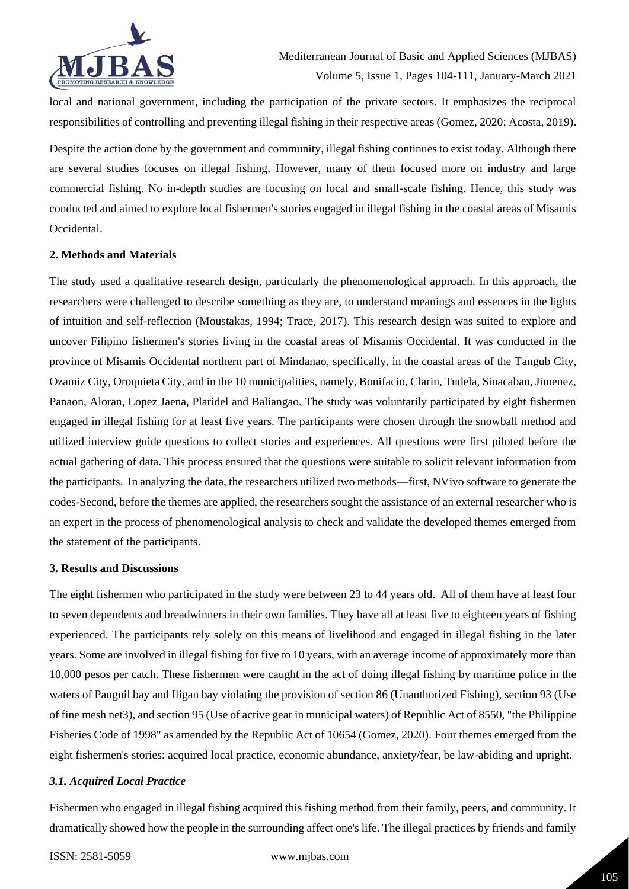

local and national government, including the participation of the private sectors. It emphasizes the reciprocal responsibilities of controlling and preventing illegal fishing in their respective areas (Gomez, 2020; Acosta, 2019).

Despite the action done by the government and community, illegal fishing continues to exist today. Although there are several studies focuses on illegal fishing. However, many of them focused more on industry and large commercial fishing. No in-depth studies are focusing on local and small-scale fishing. Hence, this study was conducted and aimed to explore local fishermen's stories engaged in illegal fishing in the coastal areas of Misamis Occidental.

# **2. Methods and Materials**

The study used a qualitative research design, particularly the phenomenological approach. In this approach, the researchers were challenged to describe something as they are, to understand meanings and essences in the lights of intuition and self-reflection (Moustakas, 1994; Trace, 2017). This research design was suited to explore and uncover Filipino fishermen's stories living in the coastal areas of Misamis Occidental. It was conducted in the province of Misamis Occidental northern part of Mindanao, specifically, in the coastal areas of the Tangub City, Ozamiz City, Oroquieta City, and in the 10 municipalities, namely, Bonifacio, Clarin, Tudela, Sinacaban, Jimenez, Panaon, Aloran, Lopez Jaena, Plaridel and Baliangao. The study was voluntarily participated by eight fishermen engaged in illegal fishing for at least five years. The participants were chosen through the snowball method and utilized interview guide questions to collect stories and experiences. All questions were first piloted before the actual gathering of data. This process ensured that the questions were suitable to solicit relevant information from the participants. In analyzing the data, the researchers utilized two methods—first, NVivo software to generate the codes-Second, before the themes are applied, the researchers sought the assistance of an external researcher who is an expert in the process of phenomenological analysis to check and validate the developed themes emerged from the statement of the participants.

### **3. Results and Discussions**

The eight fishermen who participated in the study were between 23 to 44 years old. All of them have at least four to seven dependents and breadwinners in their own families. They have all at least five to eighteen years of fishing experienced. The participants rely solely on this means of livelihood and engaged in illegal fishing in the later years. Some are involved in illegal fishing for five to 10 years, with an average income of approximately more than 10,000 pesos per catch. These fishermen were caught in the act of doing illegal fishing by maritime police in the waters of Panguil bay and Iligan bay violating the provision of section 86 (Unauthorized Fishing), section 93 (Use of fine mesh net3), and section 95 (Use of active gear in municipal waters) of Republic Act of 8550, "the Philippine Fisheries Code of 1998" as amended by the Republic Act of 10654 (Gomez, 2020). Four themes emerged from the eight fishermen's stories: acquired local practice, economic abundance, anxiety/fear, be law-abiding and upright.

### *3.1. Acquired Local Practice*

Fishermen who engaged in illegal fishing acquired this fishing method from their family, peers, and community. It dramatically showed how the people in the surrounding affect one's life. The illegal practices by friends and family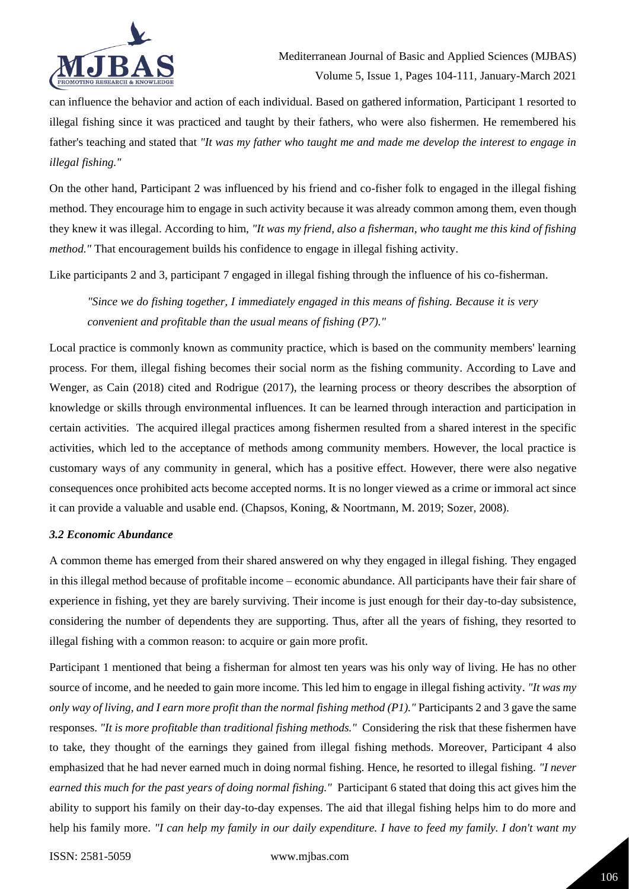

can influence the behavior and action of each individual. Based on gathered information, Participant 1 resorted to illegal fishing since it was practiced and taught by their fathers, who were also fishermen. He remembered his father's teaching and stated that *"It was my father who taught me and made me develop the interest to engage in illegal fishing."* 

On the other hand, Participant 2 was influenced by his friend and co-fisher folk to engaged in the illegal fishing method. They encourage him to engage in such activity because it was already common among them, even though they knew it was illegal. According to him, *"It was my friend, also a fisherman, who taught me this kind of fishing method."* That encouragement builds his confidence to engage in illegal fishing activity.

Like participants 2 and 3, participant 7 engaged in illegal fishing through the influence of his co-fisherman.

*"Since we do fishing together, I immediately engaged in this means of fishing. Because it is very convenient and profitable than the usual means of fishing (P7)."*

Local practice is commonly known as community practice, which is based on the community members' learning process. For them, illegal fishing becomes their social norm as the fishing community. According to Lave and Wenger, as Cain (2018) cited and Rodrigue (2017), the learning process or theory describes the absorption of knowledge or skills through environmental influences. It can be learned through interaction and participation in certain activities. The acquired illegal practices among fishermen resulted from a shared interest in the specific activities, which led to the acceptance of methods among community members. However, the local practice is customary ways of any community in general, which has a positive effect. However, there were also negative consequences once prohibited acts become accepted norms. It is no longer viewed as a crime or immoral act since it can provide a valuable and usable end. (Chapsos, Koning, & Noortmann, M. 2019; Sozer, 2008).

### *3.2 Economic Abundance*

A common theme has emerged from their shared answered on why they engaged in illegal fishing. They engaged in this illegal method because of profitable income – economic abundance. All participants have their fair share of experience in fishing, yet they are barely surviving. Their income is just enough for their day-to-day subsistence, considering the number of dependents they are supporting. Thus, after all the years of fishing, they resorted to illegal fishing with a common reason: to acquire or gain more profit.

Participant 1 mentioned that being a fisherman for almost ten years was his only way of living. He has no other source of income, and he needed to gain more income. This led him to engage in illegal fishing activity. *"It was my only way of living, and I earn more profit than the normal fishing method (P1)."* Participants 2 and 3 gave the same responses. *"It is more profitable than traditional fishing methods."* Considering the risk that these fishermen have to take, they thought of the earnings they gained from illegal fishing methods. Moreover, Participant 4 also emphasized that he had never earned much in doing normal fishing. Hence, he resorted to illegal fishing. *"I never earned this much for the past years of doing normal fishing."* Participant 6 stated that doing this act gives him the ability to support his family on their day-to-day expenses. The aid that illegal fishing helps him to do more and help his family more. *"I can help my family in our daily expenditure. I have to feed my family. I don't want my*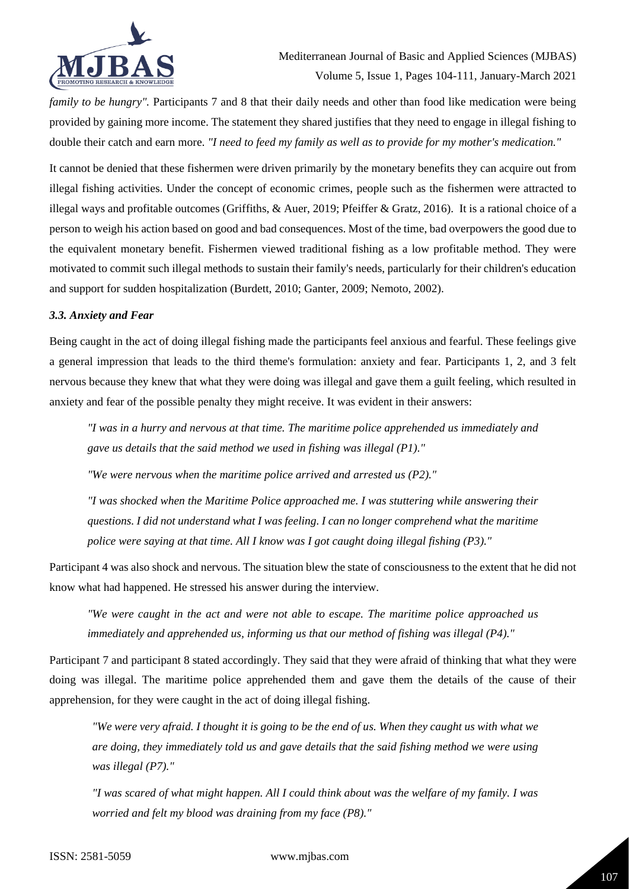

*family to be hungry".* Participants 7 and 8 that their daily needs and other than food like medication were being provided by gaining more income. The statement they shared justifies that they need to engage in illegal fishing to double their catch and earn more. *"I need to feed my family as well as to provide for my mother's medication."*

It cannot be denied that these fishermen were driven primarily by the monetary benefits they can acquire out from illegal fishing activities. Under the concept of economic crimes, people such as the fishermen were attracted to illegal ways and profitable outcomes (Griffiths, & Auer, 2019; Pfeiffer & Gratz, 2016). It is a rational choice of a person to weigh his action based on good and bad consequences. Most of the time, bad overpowers the good due to the equivalent monetary benefit. Fishermen viewed traditional fishing as a low profitable method. They were motivated to commit such illegal methods to sustain their family's needs, particularly for their children's education and support for sudden hospitalization (Burdett, 2010; Ganter, 2009; Nemoto, 2002).

# *3.3. Anxiety and Fear*

Being caught in the act of doing illegal fishing made the participants feel anxious and fearful. These feelings give a general impression that leads to the third theme's formulation: anxiety and fear. Participants 1, 2, and 3 felt nervous because they knew that what they were doing was illegal and gave them a guilt feeling, which resulted in anxiety and fear of the possible penalty they might receive. It was evident in their answers:

*"I was in a hurry and nervous at that time. The maritime police apprehended us immediately and gave us details that the said method we used in fishing was illegal (P1)."*

*"We were nervous when the maritime police arrived and arrested us (P2)."*

*"I was shocked when the Maritime Police approached me. I was stuttering while answering their questions. I did not understand what I was feeling. I can no longer comprehend what the maritime police were saying at that time. All I know was I got caught doing illegal fishing (P3)."*

Participant 4 was also shock and nervous. The situation blew the state of consciousness to the extent that he did not know what had happened. He stressed his answer during the interview.

*"We were caught in the act and were not able to escape. The maritime police approached us immediately and apprehended us, informing us that our method of fishing was illegal (P4)."*

Participant 7 and participant 8 stated accordingly. They said that they were afraid of thinking that what they were doing was illegal. The maritime police apprehended them and gave them the details of the cause of their apprehension, for they were caught in the act of doing illegal fishing.

*"We were very afraid. I thought it is going to be the end of us. When they caught us with what we are doing, they immediately told us and gave details that the said fishing method we were using was illegal (P7)."* 

*"I was scared of what might happen. All I could think about was the welfare of my family. I was worried and felt my blood was draining from my face (P8)."*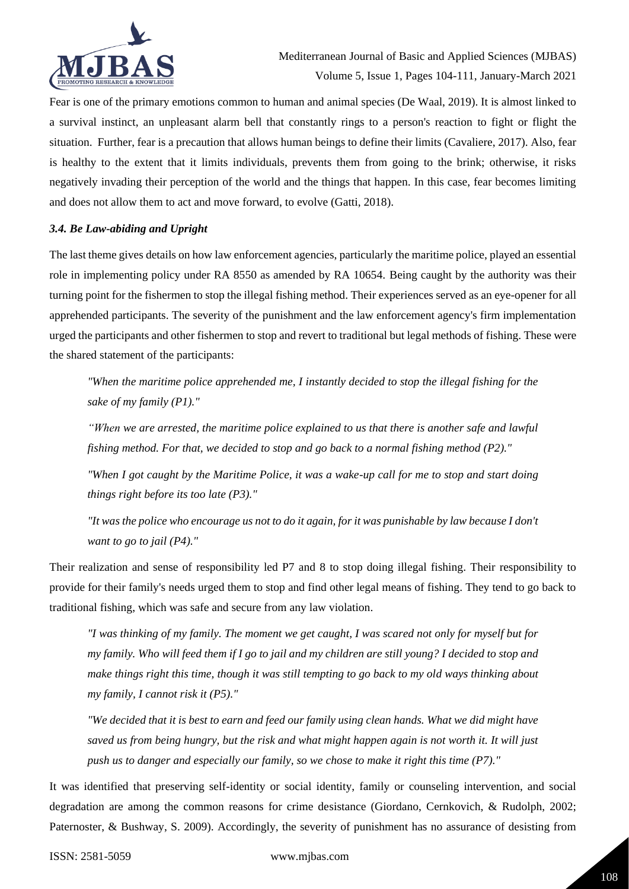

Fear is one of the primary emotions common to human and animal species (De Waal, 2019). It is almost linked to a survival instinct, an unpleasant alarm bell that constantly rings to a person's reaction to fight or flight the situation. Further, fear is a precaution that allows human beings to define their limits (Cavaliere, 2017). Also, fear is healthy to the extent that it limits individuals, prevents them from going to the brink; otherwise, it risks negatively invading their perception of the world and the things that happen. In this case, fear becomes limiting and does not allow them to act and move forward, to evolve (Gatti, 2018).

# *3.4. Be Law-abiding and Upright*

The last theme gives details on how law enforcement agencies, particularly the maritime police, played an essential role in implementing policy under RA 8550 as amended by RA 10654. Being caught by the authority was their turning point for the fishermen to stop the illegal fishing method. Their experiences served as an eye-opener for all apprehended participants. The severity of the punishment and the law enforcement agency's firm implementation urged the participants and other fishermen to stop and revert to traditional but legal methods of fishing. These were the shared statement of the participants:

*"When the maritime police apprehended me, I instantly decided to stop the illegal fishing for the sake of my family (P1)."*

*"When we are arrested, the maritime police explained to us that there is another safe and lawful fishing method. For that, we decided to stop and go back to a normal fishing method (P2)."*

*"When I got caught by the Maritime Police, it was a wake-up call for me to stop and start doing things right before its too late (P3)."* 

*"It was the police who encourage us not to do it again, for it was punishable by law because I don't want to go to jail (P4)."* 

Their realization and sense of responsibility led P7 and 8 to stop doing illegal fishing. Their responsibility to provide for their family's needs urged them to stop and find other legal means of fishing. They tend to go back to traditional fishing, which was safe and secure from any law violation.

*"I was thinking of my family. The moment we get caught, I was scared not only for myself but for my family. Who will feed them if I go to jail and my children are still young? I decided to stop and make things right this time, though it was still tempting to go back to my old ways thinking about my family, I cannot risk it (P5)."*

*"We decided that it is best to earn and feed our family using clean hands. What we did might have saved us from being hungry, but the risk and what might happen again is not worth it. It will just push us to danger and especially our family, so we chose to make it right this time (P7)."*

It was identified that preserving self-identity or social identity, family or counseling intervention, and social degradation are among the common reasons for crime desistance (Giordano, Cernkovich, & Rudolph, 2002; Paternoster, & Bushway, S. 2009). Accordingly, the severity of punishment has no assurance of desisting from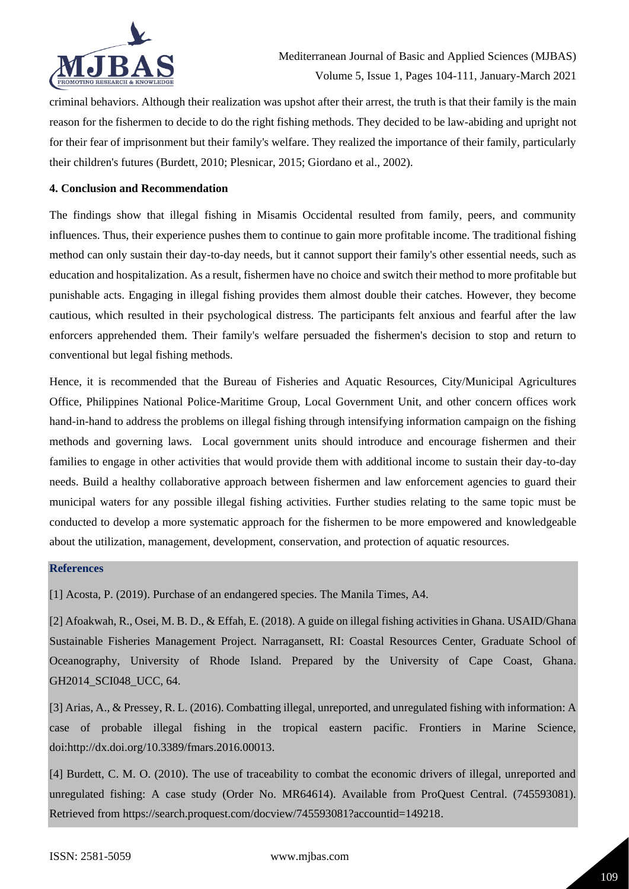

criminal behaviors. Although their realization was upshot after their arrest, the truth is that their family is the main reason for the fishermen to decide to do the right fishing methods. They decided to be law-abiding and upright not for their fear of imprisonment but their family's welfare. They realized the importance of their family, particularly their children's futures (Burdett, 2010; Plesnicar, 2015; Giordano et al., 2002).

#### **4. Conclusion and Recommendation**

The findings show that illegal fishing in Misamis Occidental resulted from family, peers, and community influences. Thus, their experience pushes them to continue to gain more profitable income. The traditional fishing method can only sustain their day-to-day needs, but it cannot support their family's other essential needs, such as education and hospitalization. As a result, fishermen have no choice and switch their method to more profitable but punishable acts. Engaging in illegal fishing provides them almost double their catches. However, they become cautious, which resulted in their psychological distress. The participants felt anxious and fearful after the law enforcers apprehended them. Their family's welfare persuaded the fishermen's decision to stop and return to conventional but legal fishing methods.

Hence, it is recommended that the Bureau of Fisheries and Aquatic Resources, City/Municipal Agricultures Office, Philippines National Police-Maritime Group, Local Government Unit, and other concern offices work hand-in-hand to address the problems on illegal fishing through intensifying information campaign on the fishing methods and governing laws. Local government units should introduce and encourage fishermen and their families to engage in other activities that would provide them with additional income to sustain their day-to-day needs. Build a healthy collaborative approach between fishermen and law enforcement agencies to guard their municipal waters for any possible illegal fishing activities. Further studies relating to the same topic must be conducted to develop a more systematic approach for the fishermen to be more empowered and knowledgeable about the utilization, management, development, conservation, and protection of aquatic resources.

### **References**

[1] Acosta, P. (2019). Purchase of an endangered species. The Manila Times, A4.

[2] Afoakwah, R., Osei, M. B. D., & Effah, E. (2018). A guide on illegal fishing activities in Ghana. USAID/Ghana Sustainable Fisheries Management Project. Narragansett, RI: Coastal Resources Center, Graduate School of Oceanography, University of Rhode Island. Prepared by the University of Cape Coast, Ghana. GH2014 SCI048 UCC, 64.

[3] Arias, A., & Pressey, R. L. (2016). Combatting illegal, unreported, and unregulated fishing with information: A case of probable illegal fishing in the tropical eastern pacific. Frontiers in Marine Science, doi:http://dx.doi.org/10.3389/fmars.2016.00013.

[4] Burdett, C. M. O. (2010). The use of traceability to combat the economic drivers of illegal, unreported and unregulated fishing: A case study (Order No. MR64614). Available from ProQuest Central. (745593081). Retrieved from https://search.proquest.com/docview/745593081?accountid=149218.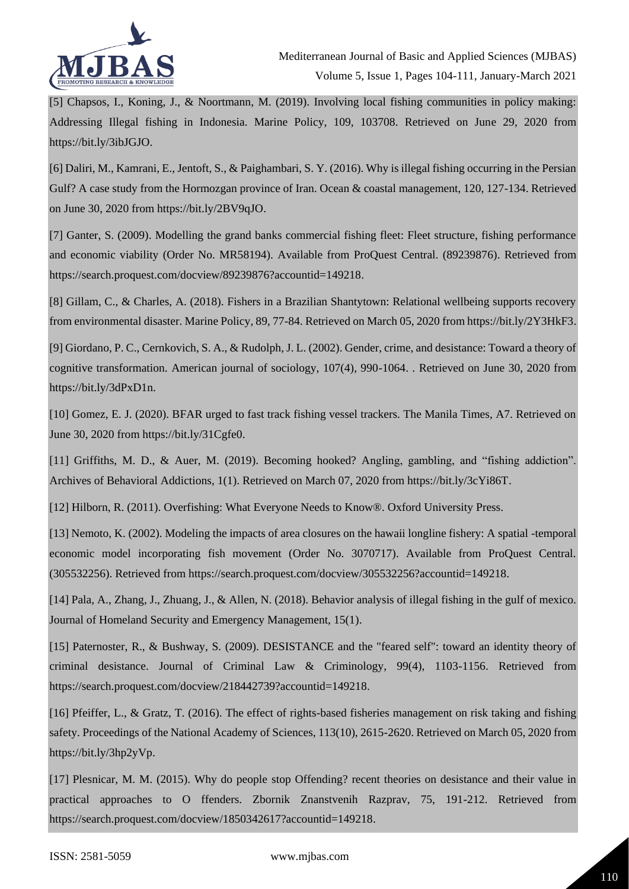

[5] Chapsos, I., Koning, J., & Noortmann, M. (2019). Involving local fishing communities in policy making: Addressing Illegal fishing in Indonesia. Marine Policy, 109, 103708. Retrieved on June 29, 2020 from https://bit.ly/3ibJGJO.

[6] Daliri, M., Kamrani, E., Jentoft, S., & Paighambari, S. Y. (2016). Why is illegal fishing occurring in the Persian Gulf? A case study from the Hormozgan province of Iran. Ocean & coastal management, 120, 127-134. Retrieved on June 30, 2020 from https://bit.ly/2BV9qJO.

[7] Ganter, S. (2009). Modelling the grand banks commercial fishing fleet: Fleet structure, fishing performance and economic viability (Order No. MR58194). Available from ProQuest Central. (89239876). Retrieved from https://search.proquest.com/docview/89239876?accountid=149218.

[8] Gillam, C., & Charles, A. (2018). Fishers in a Brazilian Shantytown: Relational wellbeing supports recovery from environmental disaster. Marine Policy, 89, 77-84. Retrieved on March 05, 2020 from https://bit.ly/2Y3HkF3.

[9] Giordano, P. C., Cernkovich, S. A., & Rudolph, J. L. (2002). Gender, crime, and desistance: Toward a theory of cognitive transformation. American journal of sociology, 107(4), 990-1064. . Retrieved on June 30, 2020 from https://bit.ly/3dPxD1n.

[10] Gomez, E. J. (2020). BFAR urged to fast track fishing vessel trackers. The Manila Times, A7. Retrieved on June 30, 2020 from https://bit.ly/31Cgfe0.

[11] Griffiths, M. D., & Auer, M. (2019). Becoming hooked? Angling, gambling, and "fishing addiction". Archives of Behavioral Addictions, 1(1). Retrieved on March 07, 2020 from https://bit.ly/3cYi86T.

[12] Hilborn, R. (2011). Overfishing: What Everyone Needs to Know®. Oxford University Press.

[13] Nemoto, K. (2002). Modeling the impacts of area closures on the hawaii longline fishery: A spatial -temporal economic model incorporating fish movement (Order No. 3070717). Available from ProQuest Central. (305532256). Retrieved from https://search.proquest.com/docview/305532256?accountid=149218.

[14] Pala, A., Zhang, J., Zhuang, J., & Allen, N. (2018). Behavior analysis of illegal fishing in the gulf of mexico. Journal of Homeland Security and Emergency Management, 15(1).

[15] Paternoster, R., & Bushway, S. (2009). DESISTANCE and the "feared self": toward an identity theory of criminal desistance. Journal of Criminal Law & Criminology, 99(4), 1103-1156. Retrieved from https://search.proquest.com/docview/218442739?accountid=149218.

[16] Pfeiffer, L., & Gratz, T. (2016). The effect of rights-based fisheries management on risk taking and fishing safety. Proceedings of the National Academy of Sciences, 113(10), 2615-2620. Retrieved on March 05, 2020 from https://bit.ly/3hp2yVp.

[17] Plesnicar, M. M. (2015). Why do people stop Offending? recent theories on desistance and their value in practical approaches to O ffenders. Zbornik Znanstvenih Razprav, 75, 191-212. Retrieved from https://search.proquest.com/docview/1850342617?accountid=149218.